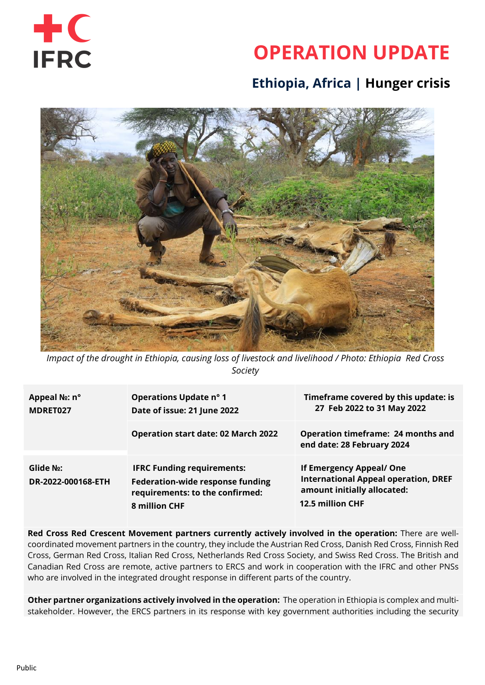

# **OPERATION UPDATE**

## **Ethiopia, Africa | Hunger crisis**



*Impact of the drought in Ethiopia, causing loss of livestock and livelihood / Photo: Ethiopia Red Cross Society*

| Appeal N <sub>2</sub> : n°<br>MDRET027 | <b>Operations Update nº 1</b><br>Date of issue: 21 June 2022                                                                     | Timeframe covered by this update: is<br>27 Feb 2022 to 31 May 2022                                                         |
|----------------------------------------|----------------------------------------------------------------------------------------------------------------------------------|----------------------------------------------------------------------------------------------------------------------------|
|                                        | <b>Operation start date: 02 March 2022</b>                                                                                       | <b>Operation timeframe: 24 months and</b><br>end date: 28 February 2024                                                    |
| Glide No:<br>DR-2022-000168-ETH        | <b>IFRC Funding requirements:</b><br><b>Federation-wide response funding</b><br>requirements: to the confirmed:<br>8 million CHF | If Emergency Appeal/ One<br><b>International Appeal operation, DREF</b><br>amount initially allocated:<br>12.5 million CHF |

**Red Cross Red Crescent Movement partners currently actively involved in the operation:** There are wellcoordinated movement partners in the country, they include the Austrian Red Cross, Danish Red Cross, Finnish Red Cross, German Red Cross, Italian Red Cross, Netherlands Red Cross Society, and Swiss Red Cross. The British and Canadian Red Cross are remote, active partners to ERCS and work in cooperation with the IFRC and other PNSs who are involved in the integrated drought response in different parts of the country.

**Other partner organizations actively involved in the operation:** The operation in Ethiopia is complex and multistakeholder. However, the ERCS partners in its response with key government authorities including the security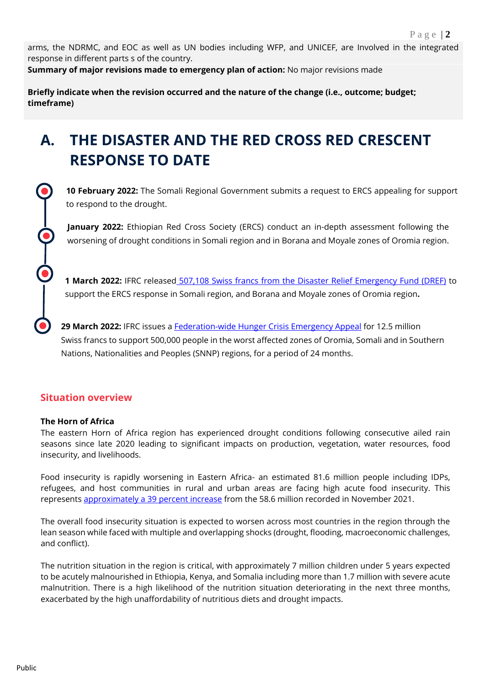arms, the NDRMC, and EOC as well as UN bodies including WFP, and UNICEF, are Involved in the integrated response in different parts s of the country.

**Summary of major revisions made to emergency plan of action:** No major revisions made

**Briefly indicate when the revision occurred and the nature of the change (i.e., outcome; budget; timeframe)**

## **A. THE DISASTER AND THE RED CROSS RED CRESCENT RESPONSE TO DATE**

**10 February 2022:** The Somali Regional Government submits a request to ERCS appealing for support to respond to the drought.

**January 2022:** Ethiopian Red Cross Society (ERCS) conduct an in-depth assessment following the worsening of drought conditions in Somali region and in Borana and Moyale zones of Oromia region.

**1 March 2022:** IFRC released [507,108 Swiss francs from the Disaster Relief Emergency Fund \(DREF\)](https://adore.ifrc.org/Download.aspx?FileId=499173) to support the ERCS response in Somali region, and Borana and Moyale zones of Oromia region**.**

**29 March 2022:** IFRC issues a [Federation-wide Hunger Crisis Emergency Appeal](https://adore.ifrc.org/Download.aspx?FileId=509057) for 12.5 million Swiss francs to support 500,000 people in the worst affected zones of Oromia, Somali and in Southern Nations, Nationalities and Peoples (SNNP) regions, for a period of 24 months.

### **Situation overview**

### **The Horn of Africa**

The eastern Horn of Africa region has experienced drought conditions following consecutive ailed rain seasons since late 2020 leading to significant impacts on production, vegetation, water resources, food insecurity, and livelihoods.

Food insecurity is rapidly worsening in Eastern Africa- an estimated 81.6 million people including IDPs, refugees, and host communities in rural and urban areas are facing high acute food insecurity. This represents [approximately a 39 percent increase](https://reliefweb.int/report/ethiopia/eastern-africa-region-regional-food-security-nutrition-update-2022-first-quarter-may) from the 58.6 million recorded in November 2021.

The overall food insecurity situation is expected to worsen across most countries in the region through the lean season while faced with multiple and overlapping shocks (drought, flooding, macroeconomic challenges, and conflict).

The nutrition situation in the region is critical, with approximately 7 million children under 5 years expected to be acutely malnourished in Ethiopia, Kenya, and Somalia including more than 1.7 million with severe acute malnutrition. There is a high likelihood of the nutrition situation deteriorating in the next three months, exacerbated by the high unaffordability of nutritious diets and drought impacts.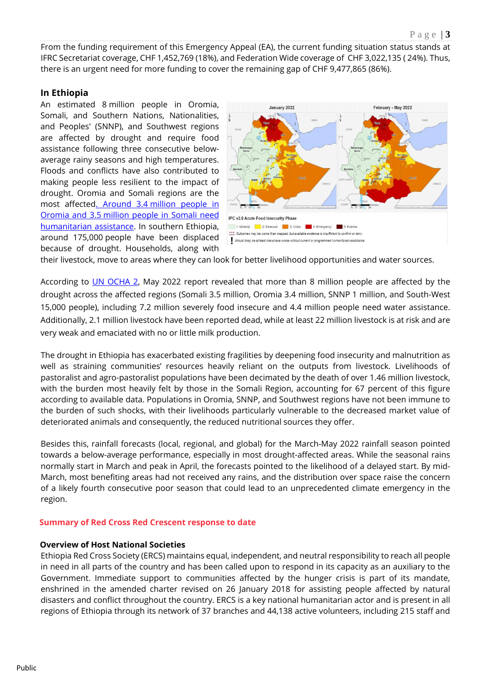From the funding requirement of this Emergency Appeal (EA), the current funding situation status stands at IFRC Secretariat coverage, CHF 1,452,769 (18%), and Federation Wide coverage of CHF 3,022,135 ( 24%). Thus, there is an urgent need for more funding to cover the remaining gap of CHF 9,477,865 (86%).

### **In Ethiopia**

An estimated 8 million people in Oromia, Somali, and Southern Nations, Nationalities, and Peoples' (SNNP), and Southwest regions are affected by drought and require food assistance following three consecutive belowaverage rainy seasons and high temperatures. Floods and conflicts have also contributed to making people less resilient to the impact of drought. Oromia and Somali regions are the most affected. Around 3.4 [million people in](https://www.acaps.org/country/ethiopia/crisis/drought)  Oromia and 3.5 [million people in Somali need](https://www.acaps.org/country/ethiopia/crisis/drought)  [humanitarian assistance.](https://www.acaps.org/country/ethiopia/crisis/drought) In southern Ethiopia, around 175,000 people have been displaced because of drought. Households, along with



their livestock, move to areas where they can look for better livelihood opportunities and water sources.

According to [UN OCHA 2,](https://reliefweb.int/report/ethiopia/ethiopia-drought-update-no-4-june-2022) May 2022 report revealed that more than 8 million people are affected by the drought across the affected regions (Somali 3.5 million, Oromia 3.4 million, SNNP 1 million, and South-West 15,000 people), including 7.2 million severely food insecure and 4.4 million people need water assistance. Additionally, 2.1 million livestock have been reported dead, while at least 22 million livestock is at risk and are very weak and emaciated with no or little milk production.

The drought in Ethiopia has exacerbated existing fragilities by deepening food insecurity and malnutrition as well as straining communities' resources heavily reliant on the outputs from livestock. Livelihoods of pastoralist and agro-pastoralist populations have been decimated by the death of over 1.46 million livestock, with the burden most heavily felt by those in the Somali Region, accounting for 67 percent of this figure according to available data. Populations in Oromia, SNNP, and Southwest regions have not been immune to the burden of such shocks, with their livelihoods particularly vulnerable to the decreased market value of deteriorated animals and consequently, the reduced nutritional sources they offer.

Besides this, rainfall forecasts (local, regional, and global) for the March-May 2022 rainfall season pointed towards a below-average performance, especially in most drought-affected areas. While the seasonal rains normally start in March and peak in April, the forecasts pointed to the likelihood of a delayed start. By mid-March, most benefiting areas had not received any rains, and the distribution over space raise the concern of a likely fourth consecutive poor season that could lead to an unprecedented climate emergency in the region.

#### **Summary of Red Cross Red Crescent response to date**

#### **Overview of Host National Societies**

Ethiopia Red Cross Society (ERCS) maintains equal, independent, and neutral responsibility to reach all people in need in all parts of the country and has been called upon to respond in its capacity as an auxiliary to the Government. Immediate support to communities affected by the hunger crisis is part of its mandate, enshrined in the amended charter revised on 26 January 2018 for assisting people affected by natural disasters and conflict throughout the country. ERCS is a key national humanitarian actor and is present in all regions of Ethiopia through its network of 37 branches and 44,138 active volunteers, including 215 staff and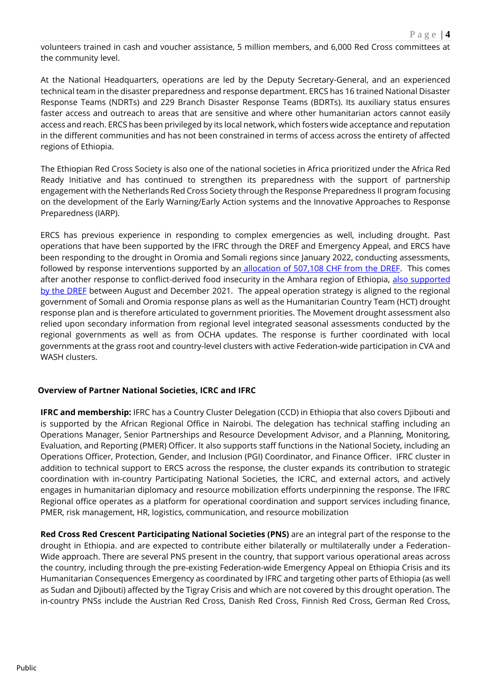volunteers trained in cash and voucher assistance, 5 million members, and 6,000 Red Cross committees at the community level.

At the National Headquarters, operations are led by the Deputy Secretary-General, and an experienced technical team in the disaster preparedness and response department. ERCS has 16 trained National Disaster Response Teams (NDRTs) and 229 Branch Disaster Response Teams (BDRTs). Its auxiliary status ensures faster access and outreach to areas that are sensitive and where other humanitarian actors cannot easily access and reach. ERCS has been privileged by its local network, which fosters wide acceptance and reputation in the different communities and has not been constrained in terms of access across the entirety of affected regions of Ethiopia.

The Ethiopian Red Cross Society is also one of the national societies in Africa prioritized under the Africa Red Ready Initiative and has continued to strengthen its preparedness with the support of partnership engagement with the Netherlands Red Cross Society through the Response Preparedness II program focusing on the development of the Early Warning/Early Action systems and the Innovative Approaches to Response Preparedness (IARP).

ERCS has previous experience in responding to complex emergencies as well, including drought. Past operations that have been supported by the IFRC through the DREF and Emergency Appeal, and ERCS have been responding to the drought in Oromia and Somali regions since January 2022, conducting assessments, followed by response interventions supported by an [allocation of 507,108 CHF from the DREF.](https://adore.ifrc.org/Download.aspx?FileId=499173) This comes after another response to conflict-derived food insecurity in the Amhara region of Ethiopia, also supported [by the DREF](https://adore.ifrc.org/Download.aspx?FileId=441569) between August and December 2021. The appeal operation strategy is aligned to the regional government of Somali and Oromia response plans as well as the Humanitarian Country Team (HCT) drought response plan and is therefore articulated to government priorities. The Movement drought assessment also relied upon secondary information from regional level integrated seasonal assessments conducted by the regional governments as well as from OCHA updates. The response is further coordinated with local governments at the grass root and country-level clusters with active Federation-wide participation in CVA and WASH clusters.

### **Overview of Partner National Societies, ICRC and IFRC**

**IFRC and membership:** IFRC has a Country Cluster Delegation (CCD) in Ethiopia that also covers Djibouti and is supported by the African Regional Office in Nairobi. The delegation has technical staffing including an Operations Manager, Senior Partnerships and Resource Development Advisor, and a Planning, Monitoring, Evaluation, and Reporting (PMER) Officer. It also supports staff functions in the National Society, including an Operations Officer, Protection, Gender, and Inclusion (PGI) Coordinator, and Finance Officer. IFRC cluster in addition to technical support to ERCS across the response, the cluster expands its contribution to strategic coordination with in-country Participating National Societies, the ICRC, and external actors, and actively engages in humanitarian diplomacy and resource mobilization efforts underpinning the response. The IFRC Regional office operates as a platform for operational coordination and support services including finance, PMER, risk management, HR, logistics, communication, and resource mobilization

**Red Cross Red Crescent Participating National Societies (PNS)** are an integral part of the response to the drought in Ethiopia. and are expected to contribute either bilaterally or multilaterally under a Federation-Wide approach. There are several PNS present in the country, that support various operational areas across the country, including through the pre-existing Federation-wide Emergency Appeal on Ethiopia Crisis and its Humanitarian Consequences Emergency as coordinated by IFRC and targeting other parts of Ethiopia (as well as Sudan and Djibouti) affected by the Tigray Crisis and which are not covered by this drought operation. The in-country PNSs include the Austrian Red Cross, Danish Red Cross, Finnish Red Cross, German Red Cross,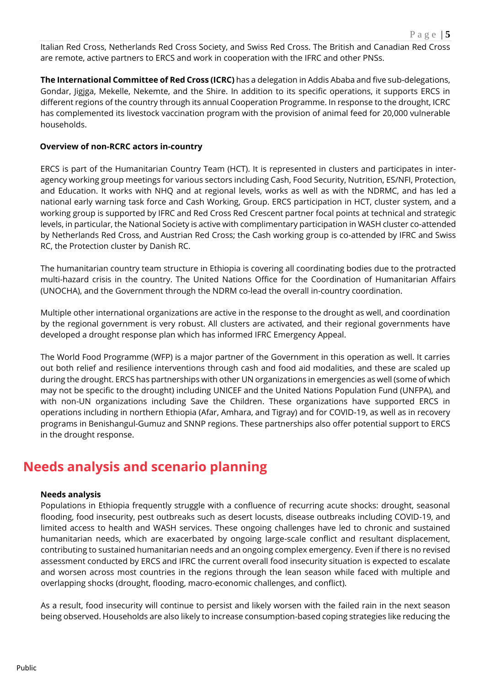Italian Red Cross, Netherlands Red Cross Society, and Swiss Red Cross. The British and Canadian Red Cross are remote, active partners to ERCS and work in cooperation with the IFRC and other PNSs.

**The International Committee of Red Cross (ICRC)** has a delegation in Addis Ababa and five sub-delegations, Gondar, Jigjga, Mekelle, Nekemte, and the Shire. In addition to its specific operations, it supports ERCS in different regions of the country through its annual Cooperation Programme. In response to the drought, ICRC has complemented its livestock vaccination program with the provision of animal feed for 20,000 vulnerable households.

### **Overview of non-RCRC actors in-country**

ERCS is part of the Humanitarian Country Team (HCT). It is represented in clusters and participates in interagency working group meetings for various sectors including Cash, Food Security, Nutrition, ES/NFI, Protection, and Education. It works with NHQ and at regional levels, works as well as with the NDRMC, and has led a national early warning task force and Cash Working, Group. ERCS participation in HCT, cluster system, and a working group is supported by IFRC and Red Cross Red Crescent partner focal points at technical and strategic levels, in particular, the National Society is active with complimentary participation in WASH cluster co-attended by Netherlands Red Cross, and Austrian Red Cross; the Cash working group is co-attended by IFRC and Swiss RC, the Protection cluster by Danish RC.

The humanitarian country team structure in Ethiopia is covering all coordinating bodies due to the protracted multi-hazard crisis in the country. The United Nations Office for the Coordination of Humanitarian Affairs (UNOCHA), and the Government through the NDRM co-lead the overall in-country coordination.

Multiple other international organizations are active in the response to the drought as well, and coordination by the regional government is very robust. All clusters are activated, and their regional governments have developed a drought response plan which has informed IFRC Emergency Appeal.

The World Food Programme (WFP) is a major partner of the Government in this operation as well. It carries out both relief and resilience interventions through cash and food aid modalities, and these are scaled up during the drought. ERCS has partnerships with other UN organizations in emergencies as well (some of which may not be specific to the drought) including UNICEF and the United Nations Population Fund (UNFPA), and with non-UN organizations including Save the Children. These organizations have supported ERCS in operations including in northern Ethiopia (Afar, Amhara, and Tigray) and for COVID-19, as well as in recovery programs in Benishangul-Gumuz and SNNP regions. These partnerships also offer potential support to ERCS in the drought response.

## **Needs analysis and scenario planning**

### **Needs analysis**

Populations in Ethiopia frequently struggle with a confluence of recurring acute shocks: drought, seasonal flooding, food insecurity, pest outbreaks such as desert locusts, disease outbreaks including COVID-19, and limited access to health and WASH services. These ongoing challenges have led to chronic and sustained humanitarian needs, which are exacerbated by ongoing large-scale conflict and resultant displacement, contributing to sustained humanitarian needs and an ongoing complex emergency. Even if there is no revised assessment conducted by ERCS and IFRC the current overall food insecurity situation is expected to escalate and worsen across most countries in the regions through the lean season while faced with multiple and overlapping shocks (drought, flooding, macro-economic challenges, and conflict).

As a result, food insecurity will continue to persist and likely worsen with the failed rain in the next season being observed. Households are also likely to increase consumption-based coping strategies like reducing the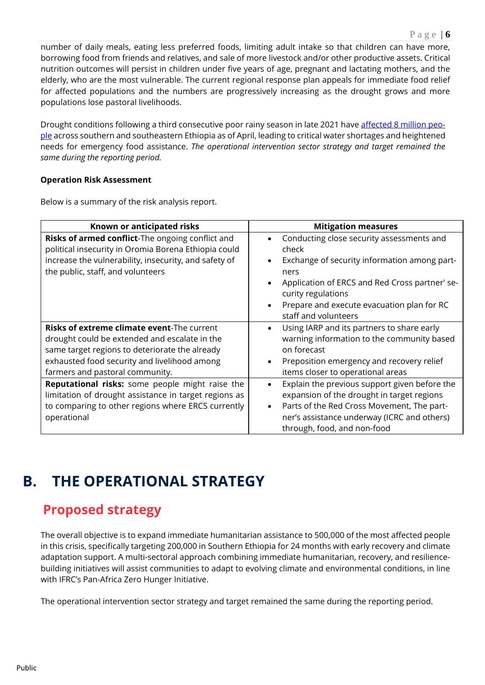number of daily meals, eating less preferred foods, limiting adult intake so that children can have more, borrowing food from friends and relatives, and sale of more livestock and/or other productive assets. Critical nutrition outcomes will persist in children under five years of age, pregnant and lactating mothers, and the elderly, who are the most vulnerable. The current regional response plan appeals for immediate food relief for affected populations and the numbers are progressively increasing as the drought grows and more populations lose pastoral livelihoods.

Drought conditions following a third consecutive poor rainy season in late 2021 have [affected 8 million peo](https://reliefweb.int/report/ethiopia/ethiopia-complex-emergency-fact-sheet-2-fiscal-year-fy-2022)[ple](https://reliefweb.int/report/ethiopia/ethiopia-complex-emergency-fact-sheet-2-fiscal-year-fy-2022) across southern and southeastern Ethiopia as of April, leading to critical water shortages and heightened needs for emergency food assistance. *The operational intervention sector strategy and target remained the same during the reporting period.*

### **Operation Risk Assessment**

Below is a summary of the risk analysis report.

| Known or anticipated risks                                                                                                                                                                                                              | <b>Mitigation measures</b>                                                                                                                                                                                                                                                                                   |
|-----------------------------------------------------------------------------------------------------------------------------------------------------------------------------------------------------------------------------------------|--------------------------------------------------------------------------------------------------------------------------------------------------------------------------------------------------------------------------------------------------------------------------------------------------------------|
| Risks of armed conflict-The ongoing conflict and<br>political insecurity in Oromia Borena Ethiopia could<br>increase the vulnerability, insecurity, and safety of<br>the public, staff, and volunteers                                  | Conducting close security assessments and<br>$\bullet$<br>check<br>Exchange of security information among part-<br>$\bullet$<br>ners<br>Application of ERCS and Red Cross partner' se-<br>$\bullet$<br>curity regulations<br>Prepare and execute evacuation plan for RC<br>$\bullet$<br>staff and volunteers |
| <b>Risks of extreme climate event-The current</b><br>drought could be extended and escalate in the<br>same target regions to deteriorate the already<br>exhausted food security and livelihood among<br>farmers and pastoral community. | Using IARP and its partners to share early<br>$\bullet$<br>warning information to the community based<br>on forecast<br>Preposition emergency and recovery relief<br>items closer to operational areas                                                                                                       |
| Reputational risks: some people might raise the<br>limitation of drought assistance in target regions as<br>to comparing to other regions where ERCS currently<br>operational                                                           | Explain the previous support given before the<br>$\bullet$<br>expansion of the drought in target regions<br>Parts of the Red Cross Movement, The part-<br>$\bullet$<br>ner's assistance underway (ICRC and others)<br>through, food, and non-food                                                            |

## **B. THE OPERATIONAL STRATEGY**

## **Proposed strategy**

The overall objective is to expand immediate humanitarian assistance to 500,000 of the most affected people in this crisis, specifically targeting 200,000 in Southern Ethiopia for 24 months with early recovery and climate adaptation support. A multi-sectoral approach combining immediate humanitarian, recovery, and resiliencebuilding initiatives will assist communities to adapt to evolving climate and environmental conditions, in line with IFRC's Pan-Africa Zero Hunger Initiative.

The operational intervention sector strategy and target remained the same during the reporting period.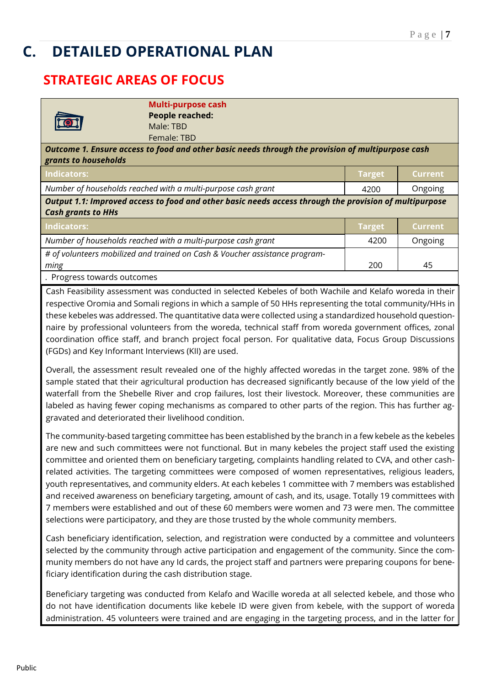## **C. DETAILED OPERATIONAL PLAN**

## **STRATEGIC AREAS OF FOCUS**

|                                                                                                                                     | Multi-purpose cash                                                          |               |                |
|-------------------------------------------------------------------------------------------------------------------------------------|-----------------------------------------------------------------------------|---------------|----------------|
|                                                                                                                                     | <b>People reached:</b>                                                      |               |                |
|                                                                                                                                     | Male: TBD                                                                   |               |                |
|                                                                                                                                     | Female: TBD                                                                 |               |                |
| Outcome 1. Ensure access to food and other basic needs through the provision of multipurpose cash<br>grants to households           |                                                                             |               |                |
| Indicators:                                                                                                                         |                                                                             | <b>Target</b> | Current        |
|                                                                                                                                     | Number of households reached with a multi-purpose cash grant                | 4200          | Ongoing        |
| Output 1.1: Improved access to food and other basic needs access through the provision of multipurpose<br><b>Cash grants to HHs</b> |                                                                             |               |                |
|                                                                                                                                     |                                                                             |               |                |
| <b>Indicators:</b>                                                                                                                  |                                                                             | <b>Target</b> | <b>Current</b> |
|                                                                                                                                     | Number of households reached with a multi-purpose cash grant                | 4200          | Ongoing        |
|                                                                                                                                     | # of volunteers mobilized and trained on Cash & Voucher assistance program- |               |                |
| ming                                                                                                                                |                                                                             | 200           | 45             |
| . Progress towards outcomes                                                                                                         |                                                                             |               |                |

Cash Feasibility assessment was conducted in selected Kebeles of both Wachile and Kelafo woreda in their respective Oromia and Somali regions in which a sample of 50 HHs representing the total community/HHs in these kebeles was addressed. The quantitative data were collected using a standardized household questionnaire by professional volunteers from the woreda, technical staff from woreda government offices, zonal coordination office staff, and branch project focal person. For qualitative data, Focus Group Discussions (FGDs) and Key Informant Interviews (KII) are used.

Overall, the assessment result revealed one of the highly affected woredas in the target zone. 98% of the sample stated that their agricultural production has decreased significantly because of the low yield of the waterfall from the Shebelle River and crop failures, lost their livestock. Moreover, these communities are labeled as having fewer coping mechanisms as compared to other parts of the region. This has further aggravated and deteriorated their livelihood condition.

The community-based targeting committee has been established by the branch in a few kebele as the kebeles are new and such committees were not functional. But in many kebeles the project staff used the existing committee and oriented them on beneficiary targeting, complaints handling related to CVA, and other cashrelated activities. The targeting committees were composed of women representatives, religious leaders, youth representatives, and community elders. At each kebeles 1 committee with 7 members was established and received awareness on beneficiary targeting, amount of cash, and its, usage. Totally 19 committees with 7 members were established and out of these 60 members were women and 73 were men. The committee selections were participatory, and they are those trusted by the whole community members.

Cash beneficiary identification, selection, and registration were conducted by a committee and volunteers selected by the community through active participation and engagement of the community. Since the community members do not have any Id cards, the project staff and partners were preparing coupons for beneficiary identification during the cash distribution stage.

Beneficiary targeting was conducted from Kelafo and Wacille woreda at all selected kebele, and those who do not have identification documents like kebele ID were given from kebele, with the support of woreda administration. 45 volunteers were trained and are engaging in the targeting process, and in the latter for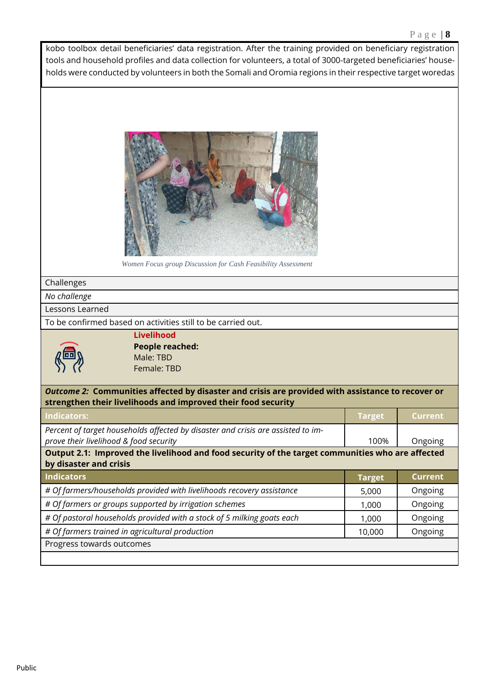kobo toolbox detail beneficiaries' data registration. After the training provided on beneficiary registration tools and household profiles and data collection for volunteers, a total of 3000-targeted beneficiaries' households were conducted by volunteers in both the Somali and Oromia regions in their respective target woredas



*Women Focus group Discussion for Cash Feasibility Assessment* 

### Challenges

*No challenge* 

Lessons Learned

To be confirmed based on activities still to be carried out.



**Livelihood People reached:**  Male: TBD Female: TBD

*Outcome 2:* **Communities affected by disaster and crisis are provided with assistance to recover or strengthen their livelihoods and improved their food security**

| <b>Indicators:</b>                                                                                                         | <b>Target</b> | <b>Current</b> |
|----------------------------------------------------------------------------------------------------------------------------|---------------|----------------|
| Percent of target households affected by disaster and crisis are assisted to im-                                           |               |                |
| prove their livelihood & food security                                                                                     | 100%          | Ongoing        |
| Output 2.1: Improved the livelihood and food security of the target communities who are affected<br>by disaster and crisis |               |                |
| Indicators                                                                                                                 | <b>Target</b> | <b>Current</b> |
| # Of farmers/households provided with livelihoods recovery assistance                                                      | 5,000         | Ongoing        |
| # Of farmers or groups supported by irrigation schemes                                                                     | 1,000         | Ongoing        |
| # Of pastoral households provided with a stock of 5 milking goats each                                                     | 1,000         | Ongoing        |
| # Of farmers trained in agricultural production                                                                            | 10,000        | Ongoing        |
| Progress towards outcomes                                                                                                  |               |                |
|                                                                                                                            |               |                |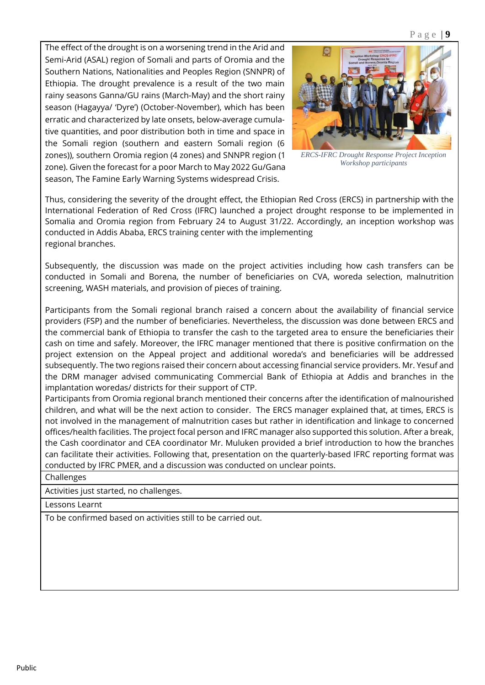The effect of the drought is on a worsening trend in the Arid and Semi-Arid (ASAL) region of Somali and parts of Oromia and the Southern Nations, Nationalities and Peoples Region (SNNPR) of Ethiopia. The drought prevalence is a result of the two main rainy seasons Ganna/GU rains (March-May) and the short rainy season (Hagayya/ 'Dyre') (October-November), which has been erratic and characterized by late onsets, below-average cumulative quantities, and poor distribution both in time and space in the Somali region (southern and eastern Somali region (6 zones)), southern Oromia region (4 zones) and SNNPR region (1 zone). Given the forecast for a poor March to May 2022 Gu/Gana season, The Famine Early Warning Systems widespread Crisis.



*ERCS-IFRC Drought Response Project Inception Workshop participants*

Thus, considering the severity of the drought effect, the Ethiopian Red Cross (ERCS) in partnership with the International Federation of Red Cross (IFRC) launched a project drought response to be implemented in Somalia and Oromia region from February 24 to August 31/22. Accordingly, an inception workshop was conducted in Addis Ababa, ERCS training center with the implementing regional branches.

Subsequently, the discussion was made on the project activities including how cash transfers can be conducted in Somali and Borena, the number of beneficiaries on CVA, woreda selection, malnutrition screening, WASH materials, and provision of pieces of training.

Participants from the Somali regional branch raised a concern about the availability of financial service providers (FSP) and the number of beneficiaries. Nevertheless, the discussion was done between ERCS and the commercial bank of Ethiopia to transfer the cash to the targeted area to ensure the beneficiaries their cash on time and safely. Moreover, the IFRC manager mentioned that there is positive confirmation on the project extension on the Appeal project and additional woreda's and beneficiaries will be addressed subsequently. The two regions raised their concern about accessing financial service providers. Mr. Yesuf and the DRM manager advised communicating Commercial Bank of Ethiopia at Addis and branches in the implantation woredas/ districts for their support of CTP.

Participants from Oromia regional branch mentioned their concerns after the identification of malnourished children, and what will be the next action to consider. The ERCS manager explained that, at times, ERCS is not involved in the management of malnutrition cases but rather in identification and linkage to concerned offices/health facilities. The project focal person and IFRC manager also supported this solution. After a break, the Cash coordinator and CEA coordinator Mr. Muluken provided a brief introduction to how the branches can facilitate their activities. Following that, presentation on the quarterly-based IFRC reporting format was conducted by IFRC PMER, and a discussion was conducted on unclear points.

Challenges

Activities just started, no challenges.

Lessons Learnt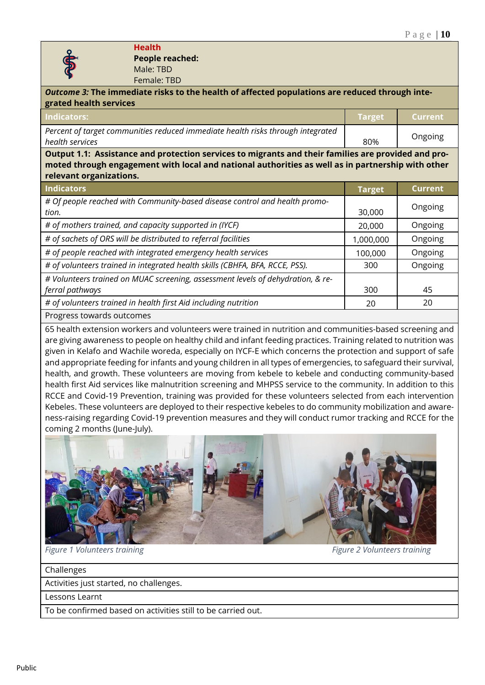

**Health People reached:**  Male: TBD Female: TBD

| Female: TBD                                                                                                                                                                                                                         |                |  |
|-------------------------------------------------------------------------------------------------------------------------------------------------------------------------------------------------------------------------------------|----------------|--|
| Outcome 3: The immediate risks to the health of affected populations are reduced through inte-                                                                                                                                      |                |  |
| <b>Target</b>                                                                                                                                                                                                                       | <b>Current</b> |  |
| 80%                                                                                                                                                                                                                                 | Ongoing        |  |
| Output 1.1: Assistance and protection services to migrants and their families are provided and pro-<br>moted through engagement with local and national authorities as well as in partnership with other<br>relevant organizations. |                |  |
| <b>Target</b>                                                                                                                                                                                                                       | <b>Current</b> |  |
| 30,000                                                                                                                                                                                                                              | Ongoing        |  |
| 20,000                                                                                                                                                                                                                              | Ongoing        |  |
| 1,000,000                                                                                                                                                                                                                           | Ongoing        |  |
| 100,000                                                                                                                                                                                                                             | Ongoing        |  |
| 300                                                                                                                                                                                                                                 | Ongoing        |  |
|                                                                                                                                                                                                                                     |                |  |
| 300                                                                                                                                                                                                                                 | 45             |  |
| 20                                                                                                                                                                                                                                  | 20             |  |
|                                                                                                                                                                                                                                     |                |  |
|                                                                                                                                                                                                                                     |                |  |

65 health extension workers and volunteers were trained in nutrition and communities-based screening and are giving awareness to people on healthy child and infant feeding practices. Training related to nutrition was given in Kelafo and Wachile woreda, especially on IYCF-E which concerns the protection and support of safe and appropriate feeding for infants and young children in all types of emergencies, to safeguard their survival, health, and growth. These volunteers are moving from kebele to kebele and conducting community-based health first Aid services like malnutrition screening and MHPSS service to the community. In addition to this RCCE and Covid-19 Prevention, training was provided for these volunteers selected from each intervention Kebeles. These volunteers are deployed to their respective kebeles to do community mobilization and awareness-raising regarding Covid-19 prevention measures and they will conduct rumor tracking and RCCE for the coming 2 months (June-July).



*Figure 1 Volunteers training Figure 2 Volunteers training*

Challenges

Activities just started, no challenges.

Lessons Learnt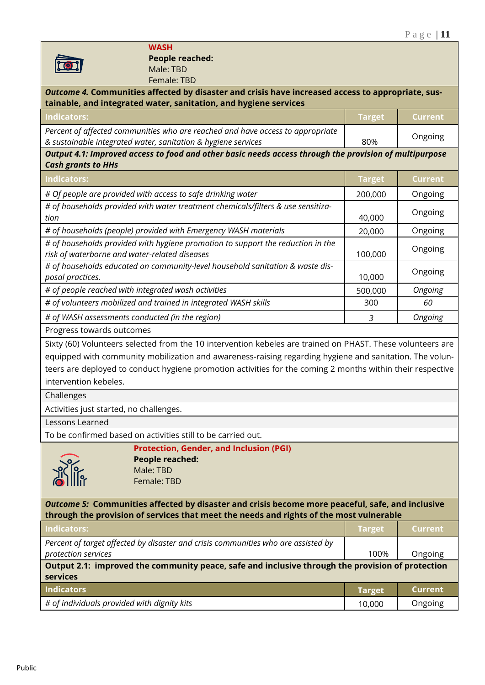### **WASH People reached:**  Male: TBD Female: TBD

| Outcome 4. Communities affected by disaster and crisis have increased access to appropriate, sus-<br>tainable, and integrated water, sanitation, and hygiene services                                                                                                                                                                                                      |               |                |
|----------------------------------------------------------------------------------------------------------------------------------------------------------------------------------------------------------------------------------------------------------------------------------------------------------------------------------------------------------------------------|---------------|----------------|
| <b>Indicators:</b>                                                                                                                                                                                                                                                                                                                                                         | <b>Target</b> | <b>Current</b> |
| Percent of affected communities who are reached and have access to appropriate<br>& sustainable integrated water, sanitation & hygiene services                                                                                                                                                                                                                            | 80%           | Ongoing        |
| Output 4.1: Improved access to food and other basic needs access through the provision of multipurpose<br><b>Cash grants to HHs</b>                                                                                                                                                                                                                                        |               |                |
| <b>Indicators:</b>                                                                                                                                                                                                                                                                                                                                                         | <b>Target</b> | <b>Current</b> |
| # Of people are provided with access to safe drinking water                                                                                                                                                                                                                                                                                                                | 200,000       | Ongoing        |
| # of households provided with water treatment chemicals/filters & use sensitiza-<br>tion                                                                                                                                                                                                                                                                                   | 40,000        | Ongoing        |
| # of households (people) provided with Emergency WASH materials                                                                                                                                                                                                                                                                                                            | 20,000        | Ongoing        |
| # of households provided with hygiene promotion to support the reduction in the<br>risk of waterborne and water-related diseases                                                                                                                                                                                                                                           | 100,000       | Ongoing        |
| # of households educated on community-level household sanitation & waste dis-<br>posal practices.                                                                                                                                                                                                                                                                          | 10,000        | Ongoing        |
| # of people reached with integrated wash activities                                                                                                                                                                                                                                                                                                                        | 500,000       | Ongoing        |
| # of volunteers mobilized and trained in integrated WASH skills                                                                                                                                                                                                                                                                                                            | 300           | 60             |
| # of WASH assessments conducted (in the region)                                                                                                                                                                                                                                                                                                                            | 3             | Ongoing        |
| Progress towards outcomes                                                                                                                                                                                                                                                                                                                                                  |               |                |
| Sixty (60) Volunteers selected from the 10 intervention kebeles are trained on PHAST. These volunteers are<br>equipped with community mobilization and awareness-raising regarding hygiene and sanitation. The volun-<br>teers are deployed to conduct hygiene promotion activities for the coming 2 months within their respective<br>intervention kebeles.<br>Challenges |               |                |
| Activities just started, no challenges.                                                                                                                                                                                                                                                                                                                                    |               |                |
| Lessons Learned                                                                                                                                                                                                                                                                                                                                                            |               |                |
| To be confirmed based on activities still to be carried out.                                                                                                                                                                                                                                                                                                               |               |                |
| <b>Protection, Gender, and Inclusion (PGI)</b><br><b>People reached:</b><br>$\frac{\sum_{k=0}^{n}a_{k}}{\sum_{k=0}^{n}b_{k}}$<br>Male: TBD<br>Female: TBD                                                                                                                                                                                                                  |               |                |
| Outcome 5: Communities affected by disaster and crisis become more peaceful, safe, and inclusive<br>through the provision of services that meet the needs and rights of the most vulnerable                                                                                                                                                                                |               |                |
| <b>Indicators:</b>                                                                                                                                                                                                                                                                                                                                                         | <b>Target</b> | <b>Current</b> |
| Percent of target affected by disaster and crisis communities who are assisted by<br>protection services                                                                                                                                                                                                                                                                   | 100%          | Ongoing        |
| Output 2.1: improved the community peace, safe and inclusive through the provision of protection<br>services                                                                                                                                                                                                                                                               |               |                |
| <b>Indicators</b>                                                                                                                                                                                                                                                                                                                                                          | <b>Target</b> | <b>Current</b> |
| # of individuals provided with dignity kits                                                                                                                                                                                                                                                                                                                                | 10,000        | Ongoing        |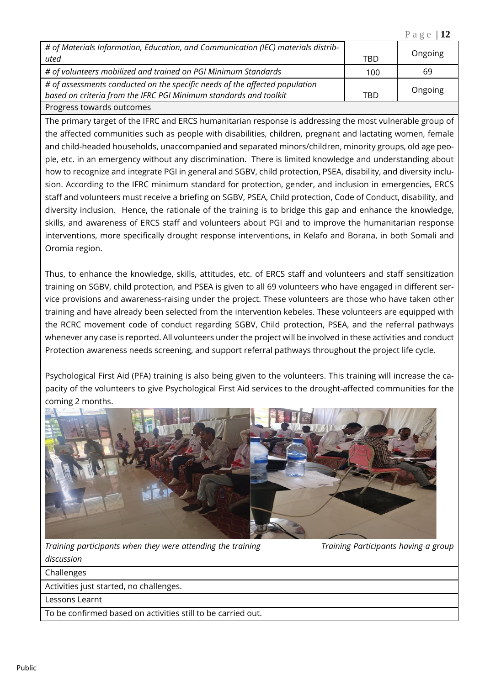| # of Materials Information, Education, and Communication (IEC) materials distrib-<br>uted                                                        | <b>TBD</b> | Ongoing |
|--------------------------------------------------------------------------------------------------------------------------------------------------|------------|---------|
| # of volunteers mobilized and trained on PGI Minimum Standards                                                                                   | 100        | 69      |
| # of assessments conducted on the specific needs of the affected population<br>based on criteria from the IFRC PGI Minimum standards and toolkit | TBD        | Ongoing |
| Progress towards outcomes                                                                                                                        |            |         |

The primary target of the IFRC and ERCS humanitarian response is addressing the most vulnerable group of the affected communities such as people with disabilities, children, pregnant and lactating women, female and child-headed households, unaccompanied and separated minors/children, minority groups, old age people, etc. in an emergency without any discrimination. There is limited knowledge and understanding about how to recognize and integrate PGI in general and SGBV, child protection, PSEA, disability, and diversity inclusion. According to the IFRC minimum standard for protection, gender, and inclusion in emergencies, ERCS staff and volunteers must receive a briefing on SGBV, PSEA, Child protection, Code of Conduct, disability, and diversity inclusion. Hence, the rationale of the training is to bridge this gap and enhance the knowledge, skills, and awareness of ERCS staff and volunteers about PGI and to improve the humanitarian response interventions, more specifically drought response interventions, in Kelafo and Borana, in both Somali and Oromia region.

Thus, to enhance the knowledge, skills, attitudes, etc. of ERCS staff and volunteers and staff sensitization training on SGBV, child protection, and PSEA is given to all 69 volunteers who have engaged in different service provisions and awareness-raising under the project. These volunteers are those who have taken other training and have already been selected from the intervention kebeles. These volunteers are equipped with the RCRC movement code of conduct regarding SGBV, Child protection, PSEA, and the referral pathways whenever any case is reported. All volunteers under the project will be involved in these activities and conduct Protection awareness needs screening, and support referral pathways throughout the project life cycle.

Psychological First Aid (PFA) training is also being given to the volunteers. This training will increase the capacity of the volunteers to give Psychological First Aid services to the drought-affected communities for the coming 2 months.



*Training participants when they were attending the training Training Participants having a group* 

P a g e | **12**

*discussion*

Challenges

Activities just started, no challenges.

Lessons Learnt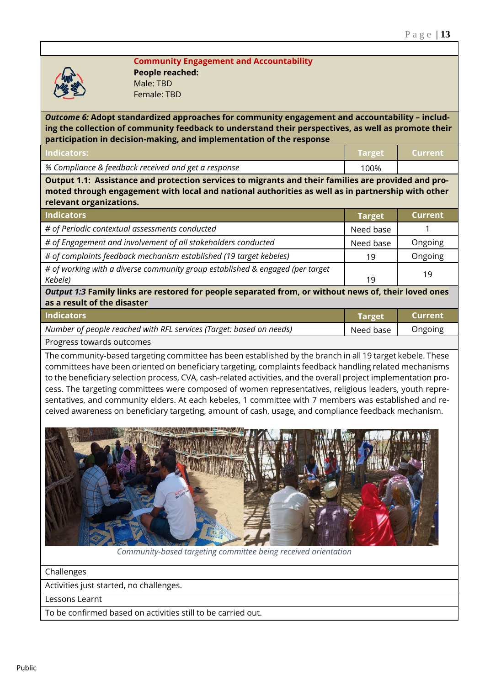

**Community Engagement and Accountability People reached:**  Male: TBD Female: TBD

*Outcome 6:* **Adopt standardized approaches for community engagement and accountability – including the collection of community feedback to understand their perspectives, as well as promote their participation in decision-making, and implementation of the response**

| Indicators:                                         | <b>Target Current</b> |  |
|-----------------------------------------------------|-----------------------|--|
| % Compliance & feedback received and get a response | 100%                  |  |

**Output 1.1: Assistance and protection services to migrants and their families are provided and promoted through engagement with local and national authorities as well as in partnership with other relevant organizations.**

| <b>Indicators</b>                                                             | <b>Target</b> | 'Current |
|-------------------------------------------------------------------------------|---------------|----------|
| # of Periodic contextual assessments conducted                                | Need base     |          |
| # of Engagement and involvement of all stakeholders conducted                 | Need base     | Ongoing  |
| # of complaints feedback mechanism established (19 target kebeles)            | 19            | Ongoing  |
| # of working with a diverse community group established & engaged (per target |               | 19       |
| Kebele)                                                                       | 19            |          |

*Output 1:3* **Family links are restored for people separated from, or without news of, their loved ones as a result of the disaster**

| <b>Indicators</b>                                                   | Target    | Current |
|---------------------------------------------------------------------|-----------|---------|
| Number of people reached with RFL services (Target: based on needs) | Need base | Ongoing |
| Progress towards outcomes                                           |           |         |

The community-based targeting committee has been established by the branch in all 19 target kebele. These committees have been oriented on beneficiary targeting, complaints feedback handling related mechanisms to the beneficiary selection process, CVA, cash-related activities, and the overall project implementation process. The targeting committees were composed of women representatives, religious leaders, youth representatives, and community elders. At each kebeles, 1 committee with 7 members was established and received awareness on beneficiary targeting, amount of cash, usage, and compliance feedback mechanism.



 *Community-based targeting committee being received orientation*

Challenges

Activities just started, no challenges.

Lessons Learnt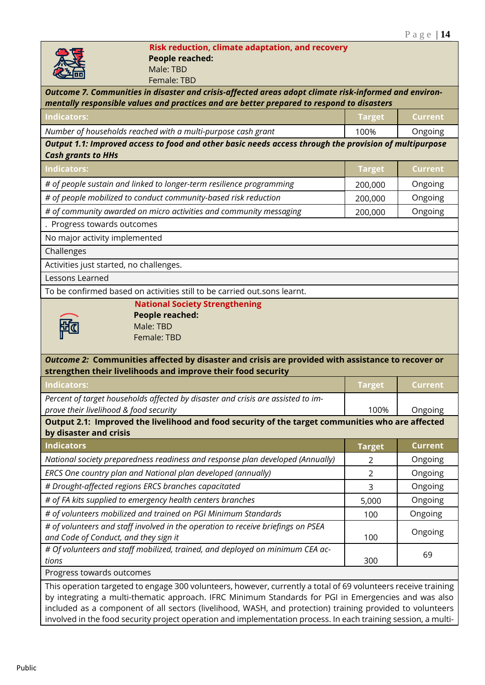### **Risk reduction, climate adaptation, and recovery People reached:**  Male: TBD

| سركت<br>Female: TBD                                                                                            |                |                |
|----------------------------------------------------------------------------------------------------------------|----------------|----------------|
| Outcome 7. Communities in disaster and crisis-affected areas adopt climate risk-informed and environ-          |                |                |
| mentally responsible values and practices and are better prepared to respond to disasters                      |                |                |
| <b>Indicators:</b>                                                                                             | <b>Target</b>  | <b>Current</b> |
| Number of households reached with a multi-purpose cash grant                                                   | 100%           | Ongoing        |
| Output 1.1: Improved access to food and other basic needs access through the provision of multipurpose         |                |                |
| <b>Cash grants to HHs</b>                                                                                      |                |                |
| <b>Indicators:</b>                                                                                             | <b>Target</b>  | <b>Current</b> |
| # of people sustain and linked to longer-term resilience programming                                           | 200,000        | Ongoing        |
| # of people mobilized to conduct community-based risk reduction                                                | 200,000        | Ongoing        |
| # of community awarded on micro activities and community messaging                                             | 200,000        | Ongoing        |
| . Progress towards outcomes                                                                                    |                |                |
| No major activity implemented                                                                                  |                |                |
| Challenges                                                                                                     |                |                |
| Activities just started, no challenges.                                                                        |                |                |
| Lessons Learned                                                                                                |                |                |
| To be confirmed based on activities still to be carried out.sons learnt.                                       |                |                |
| <b>National Society Strengthening</b>                                                                          |                |                |
| <b>People reached:</b>                                                                                         |                |                |
| Male: TBD<br>Female: TBD                                                                                       |                |                |
|                                                                                                                |                |                |
| Outcome 2: Communities affected by disaster and crisis are provided with assistance to recover or              |                |                |
| strengthen their livelihoods and improve their food security                                                   |                |                |
| <b>Indicators:</b>                                                                                             | <b>Target</b>  | <b>Current</b> |
| Percent of target households affected by disaster and crisis are assisted to im-                               |                |                |
| prove their livelihood & food security                                                                         | 100%           | Ongoing        |
| Output 2.1: Improved the livelihood and food security of the target communities who are affected               |                |                |
| by disaster and crisis                                                                                         |                |                |
| <b>Indicators</b>                                                                                              | <b>Target</b>  | <b>Current</b> |
| National society preparedness readiness and response plan developed (Annually)                                 | 2              | Ongoing        |
| ERCS One country plan and National plan developed (annually)                                                   | $\overline{2}$ | Ongoing        |
| # Drought-affected regions ERCS branches capacitated                                                           | 3              | Ongoing        |
| # of FA kits supplied to emergency health centers branches                                                     | 5,000          | Ongoing        |
| # of volunteers mobilized and trained on PGI Minimum Standards                                                 | 100            | Ongoing        |
| # of volunteers and staff involved in the operation to receive briefings on PSEA                               |                | Ongoing        |
| and Code of Conduct, and they sign it                                                                          | 100            |                |
| # Of volunteers and staff mobilized, trained, and deployed on minimum CEA ac-<br>tions                         | 300            | 69             |
| Progress towards outcomes                                                                                      |                |                |
| This operation targeted to engage 300 volunteers, however, currently a total of 69 volunteers receive training |                |                |
| by integrating a multi-thematic approach. IFRC Minimum Standards for PGI in Emergencies and was also           |                |                |
| included as a component of all sectors (livelihood, WASH, and protection) training provided to volunteers      |                |                |
| involved in the food security project operation and implementation process. In each training session, a multi- |                |                |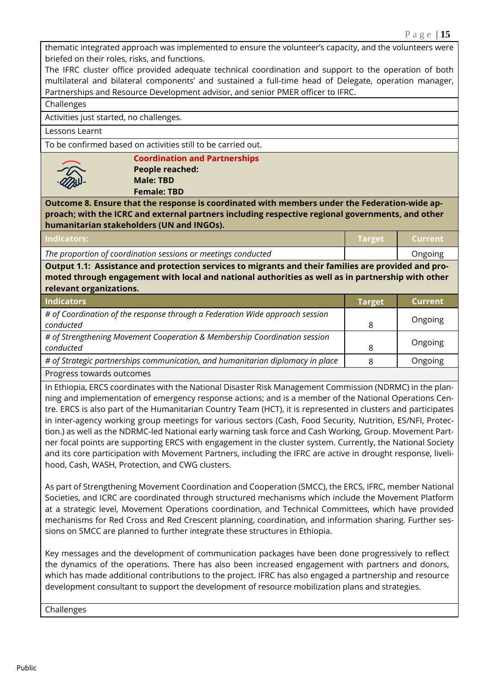thematic integrated approach was implemented to ensure the volunteer's capacity, and the volunteers were briefed on their roles, risks, and functions.

The IFRC cluster office provided adequate technical coordination and support to the operation of both multilateral and bilateral components' and sustained a full-time head of Delegate, operation manager, Partnerships and Resource Development advisor, and senior PMER officer to IFRC.

Challenges

Activities just started, no challenges.

Lessons Learnt

To be confirmed based on activities still to be carried out.



**Coordination and Partnerships People reached: Male: TBD Female: TBD**

**Outcome 8. Ensure that the response is coordinated with members under the Federation-wide approach; with the ICRC and external partners including respective regional governments, and other humanitarian stakeholders (UN and INGOs).**

| Indicators:                                                   | $\sqrt{2}$ Target | <b>Example 1</b> Current |
|---------------------------------------------------------------|-------------------|--------------------------|
| The proportion of coordination sessions or meetings conducted |                   | <b>Ongoing</b>           |
|                                                               |                   |                          |

**Output 1.1: Assistance and protection services to migrants and their families are provided and promoted through engagement with local and national authorities as well as in partnership with other relevant organizations.**

| <b>Indicators</b>                                                              | Target | Current |
|--------------------------------------------------------------------------------|--------|---------|
| # of Coordination of the response through a Federation Wide approach session   |        | Ongoing |
| conducted                                                                      | 8      |         |
| # of Strengthening Movement Cooperation & Membership Coordination session      |        |         |
| conducted                                                                      | 8      | Ongoing |
| # of Strategic partnerships communication, and humanitarian diplomacy in place |        | Ongoing |
| Progress towards outcomes                                                      |        |         |

In Ethiopia, ERCS coordinates with the National Disaster Risk Management Commission (NDRMC) in the planning and implementation of emergency response actions; and is a member of the National Operations Centre. ERCS is also part of the Humanitarian Country Team (HCT), it is represented in clusters and participates in inter-agency working group meetings for various sectors (Cash, Food Security, Nutrition, ES/NFI, Protection.) as well as the NDRMC-led National early warning task force and Cash Working, Group. Movement Partner focal points are supporting ERCS with engagement in the cluster system. Currently, the National Society and its core participation with Movement Partners, including the IFRC are active in drought response, livelihood, Cash, WASH, Protection, and CWG clusters.

As part of Strengthening Movement Coordination and Cooperation (SMCC), the ERCS, IFRC, member National Societies, and ICRC are coordinated through structured mechanisms which include the Movement Platform at a strategic level, Movement Operations coordination, and Technical Committees, which have provided mechanisms for Red Cross and Red Crescent planning, coordination, and information sharing. Further sessions on SMCC are planned to further integrate these structures in Ethiopia.

Key messages and the development of communication packages have been done progressively to reflect the dynamics of the operations. There has also been increased engagement with partners and donors, which has made additional contributions to the project. IFRC has also engaged a partnership and resource development consultant to support the development of resource mobilization plans and strategies.

Challenges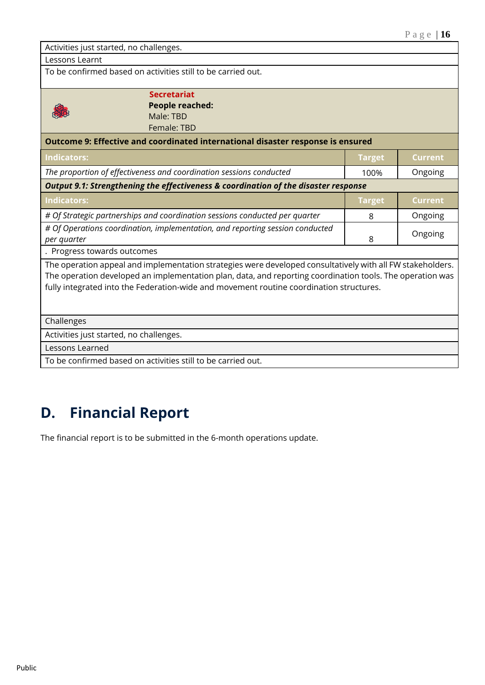| Activities just started, no challenges.                                                                                                                                                                                                                                                                            |               |                |  |  |
|--------------------------------------------------------------------------------------------------------------------------------------------------------------------------------------------------------------------------------------------------------------------------------------------------------------------|---------------|----------------|--|--|
| Lessons Learnt                                                                                                                                                                                                                                                                                                     |               |                |  |  |
| To be confirmed based on activities still to be carried out.                                                                                                                                                                                                                                                       |               |                |  |  |
| <b>Secretariat</b><br><b>People reached:</b><br>Male: TBD<br>Female: TBD                                                                                                                                                                                                                                           |               |                |  |  |
| Outcome 9: Effective and coordinated international disaster response is ensured                                                                                                                                                                                                                                    |               |                |  |  |
| <b>Indicators:</b>                                                                                                                                                                                                                                                                                                 | <b>Target</b> | <b>Current</b> |  |  |
| The proportion of effectiveness and coordination sessions conducted                                                                                                                                                                                                                                                | 100%          | Ongoing        |  |  |
| Output 9.1: Strengthening the effectiveness & coordination of the disaster response                                                                                                                                                                                                                                |               |                |  |  |
| <b>Indicators:</b>                                                                                                                                                                                                                                                                                                 | <b>Target</b> | <b>Current</b> |  |  |
| # Of Strategic partnerships and coordination sessions conducted per quarter                                                                                                                                                                                                                                        | 8             | Ongoing        |  |  |
| # Of Operations coordination, implementation, and reporting session conducted<br>per quarter                                                                                                                                                                                                                       | 8             | Ongoing        |  |  |
| . Progress towards outcomes                                                                                                                                                                                                                                                                                        |               |                |  |  |
| The operation appeal and implementation strategies were developed consultatively with all FW stakeholders.<br>The operation developed an implementation plan, data, and reporting coordination tools. The operation was<br>fully integrated into the Federation-wide and movement routine coordination structures. |               |                |  |  |
| Challenges                                                                                                                                                                                                                                                                                                         |               |                |  |  |
| Activities just started, no challenges.                                                                                                                                                                                                                                                                            |               |                |  |  |
| Lessons Learned                                                                                                                                                                                                                                                                                                    |               |                |  |  |

To be confirmed based on activities still to be carried out.

## **D. Financial Report**

The financial report is to be submitted in the 6-month operations update.